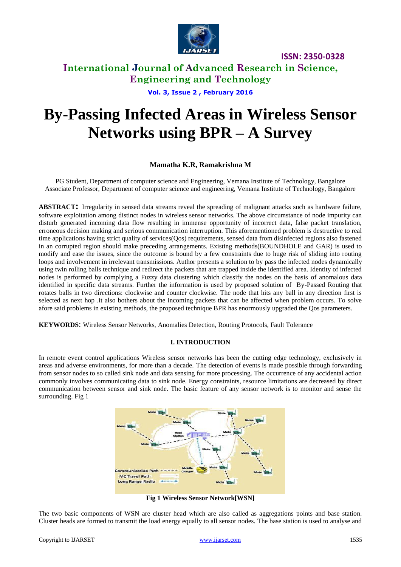

**ISSN: 2350-0328**

**International Journal of Advanced Research in Science, Engineering and Technology**

**Vol. 3, Issue 2 , February 2016**

# **By-Passing Infected Areas in Wireless Sensor Networks using BPR – A Survey**

#### **Mamatha K.R, Ramakrishna M**

PG Student, Department of computer science and Engineering, Vemana Institute of Technology, Bangalore Associate Professor, Department of computer science and engineering, Vemana Institute of Technology, Bangalore

**ABSTRACT:** Irregularity in sensed data streams reveal the spreading of malignant attacks such as hardware failure, software exploitation among distinct nodes in wireless sensor networks. The above circumstance of node impurity can disturb generated incoming data flow resulting in immense opportunity of incorrect data, false packet translation, erroneous decision making and serious communication interruption. This aforementioned problem is destructive to real time applications having strict quality of services(Qos) requirements, sensed data from disinfected regions also fastened in an corrupted region should make preceding arrangements. Existing methods(BOUNDHOLE and GAR) is used to modify and ease the issues, since the outcome is bound by a few constraints due to huge risk of sliding into routing loops and involvement in irrelevant transmissions. Author presents a solution to by pass the infected nodes dynamically using twin rolling balls technique and redirect the packets that are trapped inside the identified area. Identity of infected nodes is performed by complying a Fuzzy data clustering which classify the nodes on the basis of anomalous data identified in specific data streams. Further the information is used by proposed solution of By-Passed Routing that rotates balls in two directions: clockwise and counter clockwise. The node that hits any ball in any direction first is selected as next hop .it also bothers about the incoming packets that can be affected when problem occurs. To solve afore said problems in existing methods, the proposed technique BPR has enormously upgraded the Qos parameters.

**KEYWORDS**: Wireless Sensor Networks, Anomalies Detection, Routing Protocols, Fault Tolerance

#### **I. INTRODUCTION**

In remote event control applications Wireless sensor networks has been the cutting edge technology, exclusively in areas and adverse environments, for more than a decade. The detection of events is made possible through forwarding from sensor nodes to so called sink node and data sensing for more processing. The occurrence of any accidental action commonly involves communicating data to sink node. Energy constraints, resource limitations are decreased by direct communication between sensor and sink node. The basic feature of any sensor network is to monitor and sense the surrounding. Fig 1



**Fig 1 Wireless Sensor Network[WSN]**

The two basic components of WSN are cluster head which are also called as aggregations points and base station. Cluster heads are formed to transmit the load energy equally to all sensor nodes. The base station is used to analyse and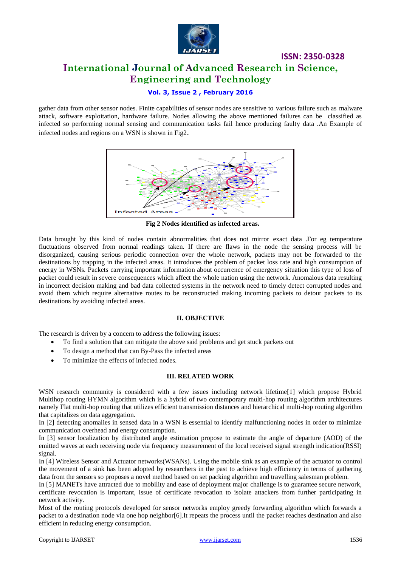

## **ISSN: 2350-0328 International Journal of Advanced Research in Science, Engineering and Technology**

#### **Vol. 3, Issue 2 , February 2016**

gather data from other sensor nodes. Finite capabilities of sensor nodes are sensitive to various failure such as malware attack, software exploitation, hardware failure. Nodes allowing the above mentioned failures can be classified as infected so performing normal sensing and communication tasks fail hence producing faulty data .An Example of infected nodes and regions on a WSN is shown in Fig2.



**Fig 2 Nodes identified as infected areas.**

Data brought by this kind of nodes contain abnormalities that does not mirror exact data .For eg temperature fluctuations observed from normal readings taken. If there are flaws in the node the sensing process will be disorganized, causing serious periodic connection over the whole network, packets may not be forwarded to the destinations by trapping in the infected areas. It introduces the problem of packet loss rate and high consumption of energy in WSNs. Packets carrying important information about occurrence of emergency situation this type of loss of packet could result in severe consequences which affect the whole nation using the network. Anomalous data resulting in incorrect decision making and bad data collected systems in the network need to timely detect corrupted nodes and avoid them which require alternative routes to be reconstructed making incoming packets to detour packets to its destinations by avoiding infected areas.

#### **II. OBJECTIVE**

The research is driven by a concern to address the following issues:

- To find a solution that can mitigate the above said problems and get stuck packets out
- To design a method that can By-Pass the infected areas
- To minimize the effects of infected nodes.

#### **III. RELATED WORK**

WSN research community is considered with a few issues including network lifetime[1] which propose Hybrid Multihop routing HYMN algorithm which is a hybrid of two contemporary multi-hop routing algorithm architectures namely Flat multi-hop routing that utilizes efficient transmission distances and hierarchical multi-hop routing algorithm that capitalizes on data aggregation.

In [2] detecting anomalies in sensed data in a WSN is essential to identify malfunctioning nodes in order to minimize communication overhead and energy consumption.

In [3] sensor localization by distributed angle estimation propose to estimate the angle of departure (AOD) of the emitted waves at each receiving node via frequency measurement of the local received signal strength indication(RSSI) signal.

In [4] Wireless Sensor and Actuator networks(WSANs). Using the mobile sink as an example of the actuator to control the movement of a sink has been adopted by researchers in the past to achieve high efficiency in terms of gathering data from the sensors so proposes a novel method based on set packing algorithm and travelling salesman problem.

In [5] MANETs have attracted due to mobility and ease of deployment major challenge is to guarantee secure network, certificate revocation is important, issue of certificate revocation to isolate attackers from further participating in network activity.

Most of the routing protocols developed for sensor networks employ greedy forwarding algorithm which forwards a packet to a destination node via one hop neighbor[6].It repeats the process until the packet reaches destination and also efficient in reducing energy consumption.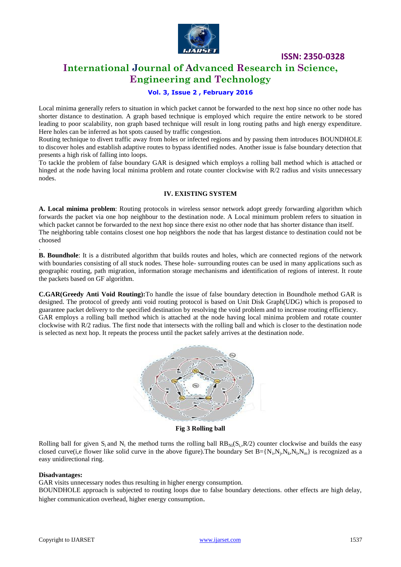

**ISSN: 2350-0328**

## **International Journal of Advanced Research in Science, Engineering and Technology**

#### **Vol. 3, Issue 2 , February 2016**

Local minima generally refers to situation in which packet cannot be forwarded to the next hop since no other node has shorter distance to destination. A graph based technique is employed which require the entire network to be stored leading to poor scalability, non graph based technique will result in long routing paths and high energy expenditure. Here holes can be inferred as hot spots caused by traffic congestion.

Routing technique to divert traffic away from holes or infected regions and by passing them introduces BOUNDHOLE to discover holes and establish adaptive routes to bypass identified nodes. Another issue is false boundary detection that presents a high risk of falling into loops.

To tackle the problem of false boundary GAR is designed which employs a rolling ball method which is attached or hinged at the node having local minima problem and rotate counter clockwise with R/2 radius and visits unnecessary nodes.

#### **IV. EXISTING SYSTEM**

**A. Local minima problem**: Routing protocols in wireless sensor network adopt greedy forwarding algorithm which forwards the packet via one hop neighbour to the destination node. A Local minimum problem refers to situation in which packet cannot be forwarded to the next hop since there exist no other node that has shorter distance than itself. The neighboring table contains closest one hop neighbors the node that has largest distance to destination could not be choosed

**B. Boundhole**: It is a distributed algorithm that builds routes and holes, which are connected regions of the network with boundaries consisting of all stuck nodes. These hole- surrounding routes can be used in many applications such as geographic routing, path migration, information storage mechanisms and identification of regions of interest. It route the packets based on GF algorithm.

**C.GAR(Greedy Anti Void Routing):**To handle the issue of false boundary detection in Boundhole method GAR is designed. The protocol of greedy anti void routing protocol is based on Unit Disk Graph(UDG) which is proposed to guarantee packet delivery to the specified destination by resolving the void problem and to increase routing efficiency. GAR employs a rolling ball method which is attached at the node having local minima problem and rotate counter clockwise with R/2 radius. The first node that intersects with the rolling ball and which is closer to the destination node is selected as next hop. It repeats the process until the packet safely arrives at the destination node.



**Fig 3 Rolling ball**

Rolling ball for given  $S_i$  and  $N_i$  the method turns the rolling ball  $RB_{Ni}(S_i,R/2)$  counter clockwise and builds the easy closed curve(i,e flower like solid curve in the above figure). The boundary Set  $B = \{N_i, N_j, N_k, N_l, N_m\}$  is recognized as a easy unidirectional ring.

#### **Disadvantages:**

.

GAR visits unnecessary nodes thus resulting in higher energy consumption.

BOUNDHOLE approach is subjected to routing loops due to false boundary detections. other effects are high delay, higher communication overhead, higher energy consumption.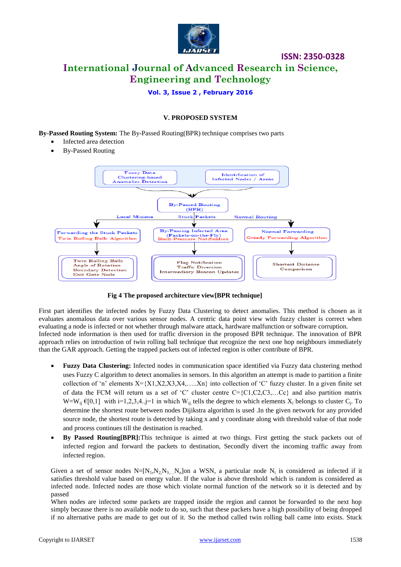

# **ISSN: 2350-0328 International Journal of Advanced Research in Science, Engineering and Technology**

**Vol. 3, Issue 2 , February 2016**

#### **V. PROPOSED SYSTEM**

**By-Passed Routing System:** The By-Passed Routing(BPR) technique comprises two parts

- Infected area detection
- By-Passed Routing



 **Fig 4 The proposed architecture view[BPR technique]**

First part identifies the infected nodes by Fuzzy Data Clustering to detect anomalies. This method is chosen as it evaluates anomalous data over various sensor nodes. A centric data point view with fuzzy cluster is correct when evaluating a node is infected or not whether through malware attack, hardware malfunction or software corruption. Infected node information is then used for traffic diversion in the proposed BPR technique. The innovation of BPR approach relies on introduction of twin rolling ball technique that recognize the next one hop neighbours immediately than the GAR approach. Getting the trapped packets out of infected region is other contribute of BPR.

- **Fuzzy Data Clustering:** Infected nodes in communication space identified via Fuzzy data clustering method uses Fuzzy C algorithm to detect anomalies in sensors. In this algorithm an attempt is made to partition a finite collection of 'n' elements  $X = \{X1, X2, X3, X4, \ldots, Xn\}$  into collection of 'C' fuzzy cluster. In a given finite set of data the FCM will return us a set of "C" cluster centre C={C1,C2,C3,…Cc} and also partition matrix  $W=W_{ij} \in [0,1]$  with  $i=1,2,3,4..j=1$  in which  $W_{ij}$  tells the degree to which elements  $X_i$  belongs to cluster  $C_j$ . To determine the shortest route between nodes Dijikstra algorithm is used .In the given network for any provided source node, the shortest route is detected by taking x and y coordinate along with threshold value of that node and process continues till the destination is reached.
- **By Passed Routing[BPR]:**This technique is aimed at two things. First getting the stuck packets out of infected region and forward the packets to destination, Secondly divert the incoming traffic away from infected region.

Given a set of sensor nodes  $N=[N_1,N_2,N_3,...N_n]$ on a WSN, a particular node  $N_i$  is considered as infected if it satisfies threshold value based on energy value. If the value is above threshold which is random is considered as infected node. Infected nodes are those which violate normal function of the network so it is detected and by passed

When nodes are infected some packets are trapped inside the region and cannot be forwarded to the next hop simply because there is no available node to do so, such that these packets have a high possibility of being dropped if no alternative paths are made to get out of it. So the method called twin rolling ball came into exists. Stuck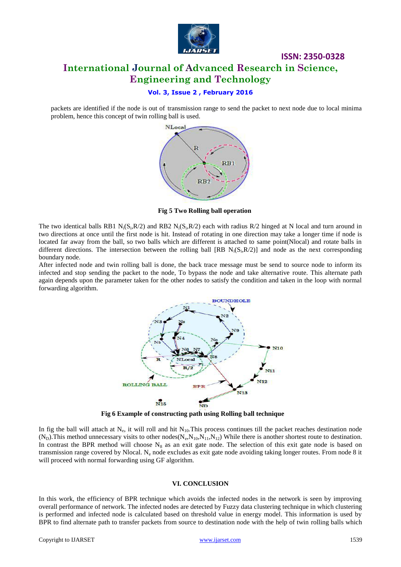

## **ISSN: 2350-0328 International Journal of Advanced Research in Science, Engineering and Technology**

#### **Vol. 3, Issue 2 , February 2016**

packets are identified if the node is out of transmission range to send the packet to next node due to local minima problem, hence this concept of twin rolling ball is used.



 **Fig 5 Two Rolling ball operation**

The two identical balls RB1 N<sub>i</sub>(S<sub>i</sub>,R/2) and RB2 N<sub>i</sub>(S<sub>i</sub>,R/2) each with radius R/2 hinged at N local and turn around in two directions at once until the first node is hit. Instead of rotating in one direction may take a longer time if node is located far away from the ball, so two balls which are different is attached to same point(Nlocal) and rotate balls in different directions. The intersection between the rolling ball  $[RB N_i(S_i, R/2)]$  and node as the next corresponding boundary node.

After infected node and twin rolling ball is done, the back trace message must be send to source node to inform its infected and stop sending the packet to the node, To bypass the node and take alternative route. This alternate path again depends upon the parameter taken for the other nodes to satisfy the condition and taken in the loop with normal forwarding algorithm.



 **Fig 6 Example of constructing path using Rolling ball technique**

In fig the ball will attach at  $N_e$ , it will roll and hit  $N_{10}$ . This process continues till the packet reaches destination node  $(N_D)$ . This method unnecessary visits to other nodes  $(N_e, N_{10}, N_{11}, N_{12})$  While there is another shortest route to destination. In contrast the BPR method will choose  $N_8$  as an exit gate node. The selection of this exit gate node is based on transmission range covered by Nlocal. Ne node excludes as exit gate node avoiding taking longer routes. From node 8 it will proceed with normal forwarding using GF algorithm.

#### **VI. CONCLUSION**

In this work, the efficiency of BPR technique which avoids the infected nodes in the network is seen by improving overall performance of network. The infected nodes are detected by Fuzzy data clustering technique in which clustering is performed and infected node is calculated based on threshold value in energy model. This information is used by BPR to find alternate path to transfer packets from source to destination node with the help of twin rolling balls which